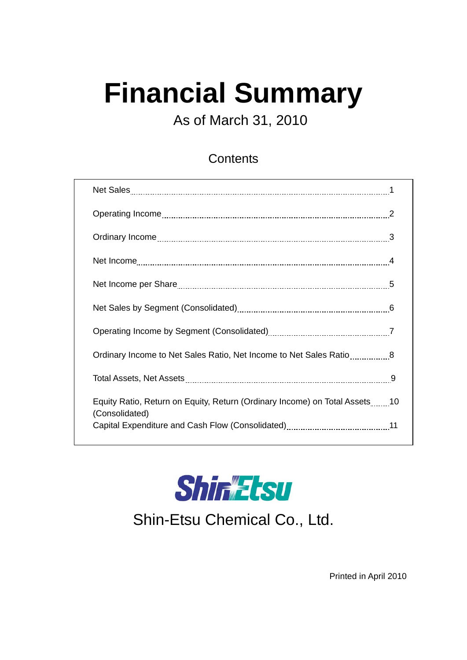# **Financial Summary**

As of March 31, 2010

#### **Contents**

| Ordinary Income to Net Sales Ratio, Net Income to Net Sales Ratio8                           |  |
|----------------------------------------------------------------------------------------------|--|
|                                                                                              |  |
| Equity Ratio, Return on Equity, Return (Ordinary Income) on Total Assets10<br>(Consolidated) |  |
|                                                                                              |  |



Shin-Etsu Chemical Co., Ltd.

Printed in April 2010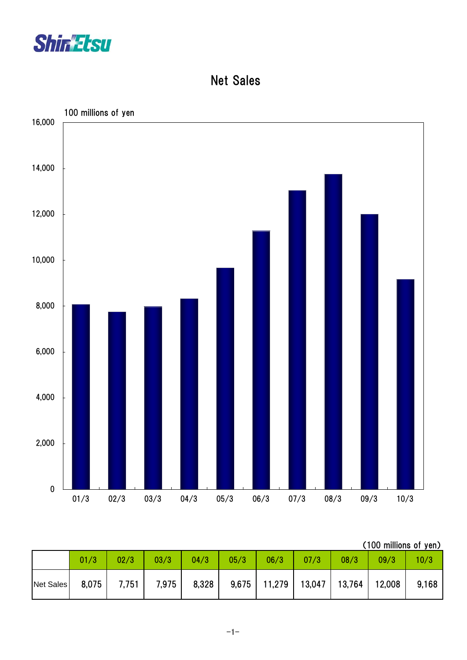

Net Sales



|  |  | (100 millions of yen) |  |  |
|--|--|-----------------------|--|--|
|--|--|-----------------------|--|--|

|           | 01/3  | 02/3  | 03/3  | 04/3  | 05/3 | 06/3           | 07/3   | 08/3   | 09/3   | 10/3  |
|-----------|-------|-------|-------|-------|------|----------------|--------|--------|--------|-------|
| Net Sales | 8,075 | 7,751 | 7,975 | 8,328 |      | $9,675$ 11,279 | 13,047 | 13,764 | 12,008 | 9,168 |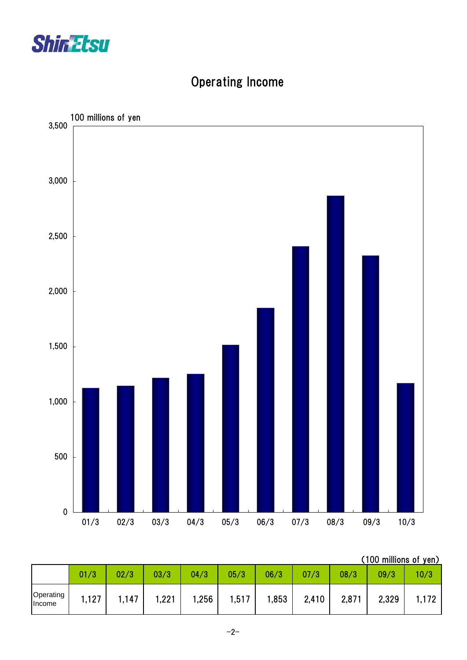



# Operating Income

(100 millions of yen)

|                     | 01/3  | 02/3 | 03/3 | 04/3 | 05/3  | 06/3 | 07/3  | 08/3  | 09/3  | 10/3 |
|---------------------|-------|------|------|------|-------|------|-------|-------|-------|------|
|                     |       |      |      |      |       |      |       |       |       |      |
| Operating<br>Income | 1,127 | ,147 | ,221 | ,256 | 1,517 | ,853 | 2,410 | 2,871 | 2,329 |      |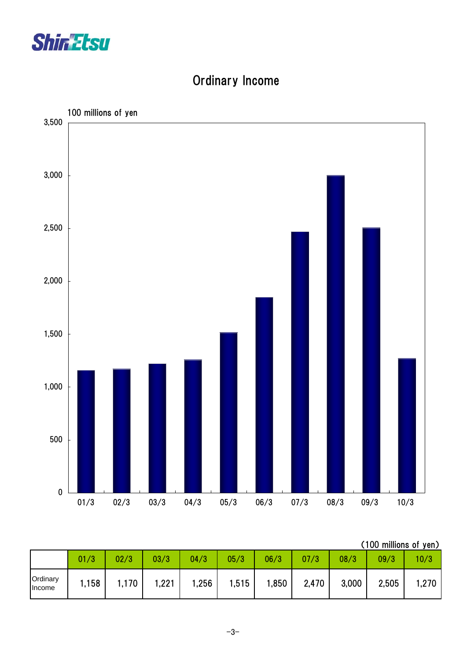



# Ordinary Income

| (100 millions of yen) |  |
|-----------------------|--|
|                       |  |

|                           | 01/3  | 02/3 | 03/3  | 04/3 | 05/3  | 06/3 | 07/3  | 08/3  | 09/3  | 10/3 |
|---------------------------|-------|------|-------|------|-------|------|-------|-------|-------|------|
| Ordinary<br><b>Income</b> | 1,158 | ,170 | 1,221 | ,256 | 1,515 | ,850 | 2,470 | 3,000 | 2,505 | .270 |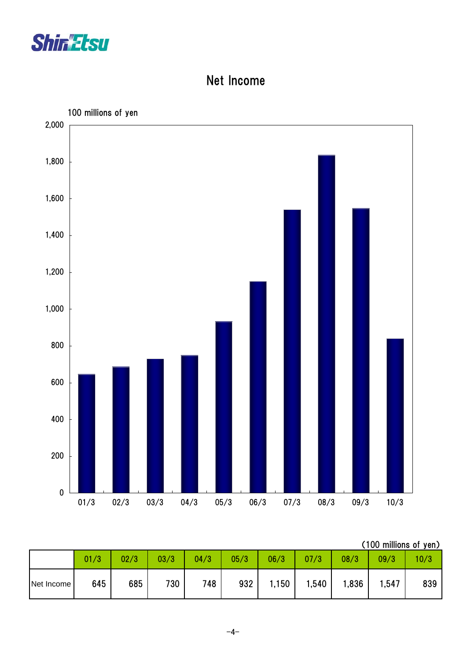

## Net Income



| (100 millions of yen) |  |
|-----------------------|--|
|                       |  |

|            | 01/3 | 02/3 | 03/3 | 04/3 | 05/3 | 06/3  | 07/3  | 08/3  | 09/3  | 10/3 |
|------------|------|------|------|------|------|-------|-------|-------|-------|------|
| Net Income | 645  | 685  | 730  | 748  | 932  | 1,150 | 1,540 | 1,836 | , 547 | 839  |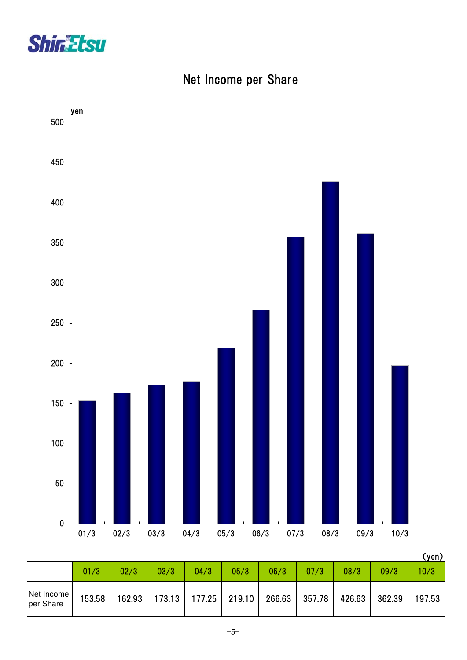



## Net Income per Share

|                         |        |        |        |      |                 |        |        |        |        | .      |
|-------------------------|--------|--------|--------|------|-----------------|--------|--------|--------|--------|--------|
|                         | 01/3   | 02/3   | 03/3   | 04/3 | 05/3            | 06/3   | 07/3   | 08/3   | 09/3   | 10/3   |
| Net Income<br>per Share | 153.58 | 162.93 | 173.13 |      | $177.25$ 219.10 | 266.63 | 357.78 | 426.63 | 362.39 | 197.53 |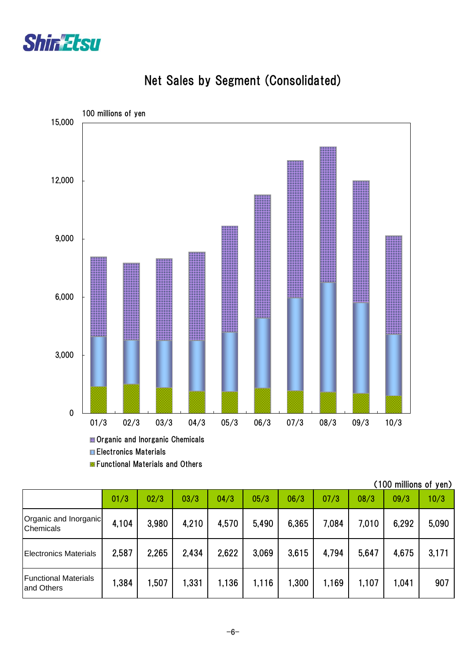



### Net Sales by Segment (Consolidated)

**Electronics Materials Exercitional Materials and Others** 

|                                           |       |       |       |       |       |       |       |       | (100 millions of yen) |       |
|-------------------------------------------|-------|-------|-------|-------|-------|-------|-------|-------|-----------------------|-------|
|                                           | 01/3  | 02/3  | 03/3  | 04/3  | 05/3  | 06/3  | 07/3  | 08/3  | 09/3                  | 10/3  |
| Organic and Inorganic<br><b>Chemicals</b> | 4,104 | 3,980 | 4,210 | 4,570 | 5,490 | 6,365 | 7,084 | 7,010 | 6,292                 | 5,090 |
| <b>Electronics Materials</b>              | 2,587 | 2,265 | 2,434 | 2,622 | 3,069 | 3,615 | 4,794 | 5,647 | 4,675                 | 3,171 |
| <b>Functional Materials</b><br>and Others | 1,384 | 1,507 | 1,331 | 1,136 | 1,116 | 1,300 | 1,169 | 1,107 | 1,041                 | 907   |

-6-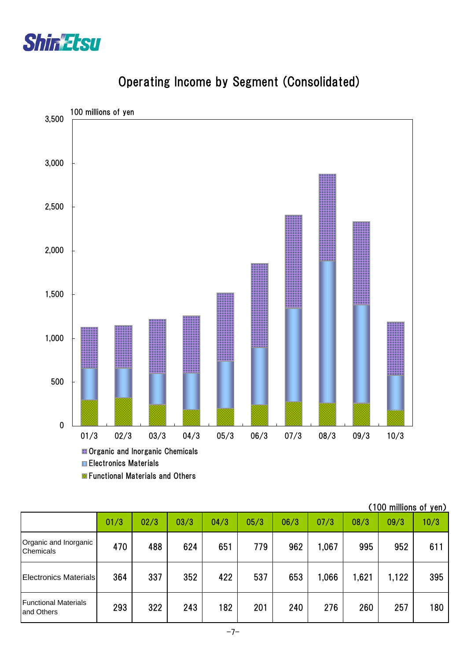



# Operating Income by Segment (Consolidated)

|                                            |      |      |      |      |      |      |       |       | (100 millions of yen) |      |
|--------------------------------------------|------|------|------|------|------|------|-------|-------|-----------------------|------|
|                                            | 01/3 | 02/3 | 03/3 | 04/3 | 05/3 | 06/3 | 07/3  | 08/3  | 09/3                  | 10/3 |
| Organic and Inorganic<br>Chemicals         | 470  | 488  | 624  | 651  | 779  | 962  | 1,067 | 995   | 952                   | 611  |
| <b>Electronics Materials</b>               | 364  | 337  | 352  | 422  | 537  | 653  | 1,066 | 1,621 | 1,122                 | 395  |
| <b>Functional Materials</b><br>land Others | 293  | 322  | 243  | 182  | 201  | 240  | 276   | 260   | 257                   | 180  |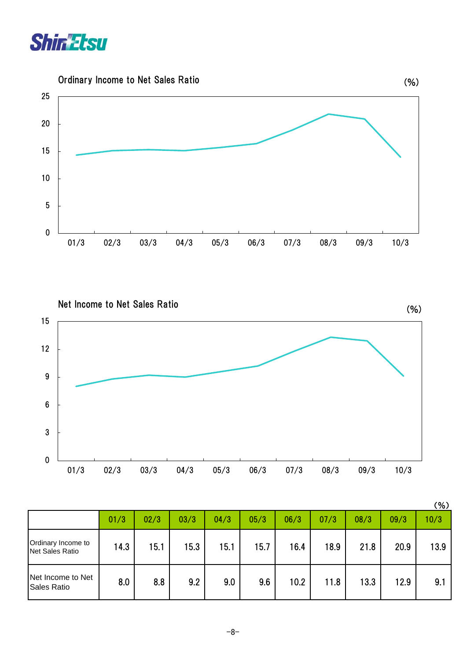





|                                              |      |      |      |      |      |      |      |      |      | (%)  |
|----------------------------------------------|------|------|------|------|------|------|------|------|------|------|
|                                              | 01/3 | 02/3 | 03/3 | 04/3 | 05/3 | 06/3 | 07/3 | 08/3 | 09/3 | 10/3 |
| Ordinary Income to<br><b>Net Sales Ratio</b> | 14.3 | 15.1 | 15.3 | 15.1 | 15.7 | 16.4 | 18.9 | 21.8 | 20.9 | 13.9 |
| Net Income to Net<br><b>Sales Ratio</b>      | 8.0  | 8.8  | 9.2  | 9.0  | 9.6  | 10.2 | 11.8 | 13.3 | 12.9 | 9.1  |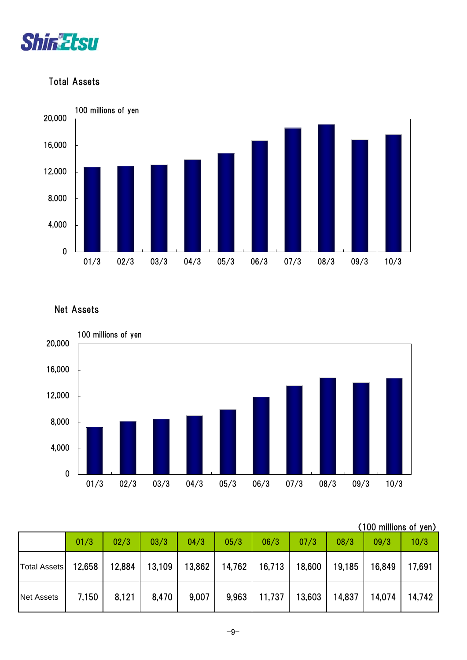

#### Total Assets



Net Assets



(100 millions of yen)

|                     | 01/3   | 02/3   | 03/3   | 04/3   | 05/3   | 06/3   | 07/3   | 08/3   | 09/3   | 10/3   |
|---------------------|--------|--------|--------|--------|--------|--------|--------|--------|--------|--------|
| <b>Total Assets</b> | 12,658 | 12,884 | 13,109 | 13,862 | 14,762 | 16,713 | 18,600 | 19,185 | 16,849 | 17,691 |
| <b>Net Assets</b>   | 7,150  | 8,121  | 8,470  | 9,007  | 9,963  | 11,737 | 13,603 | 14,837 | 14,074 | 14,742 |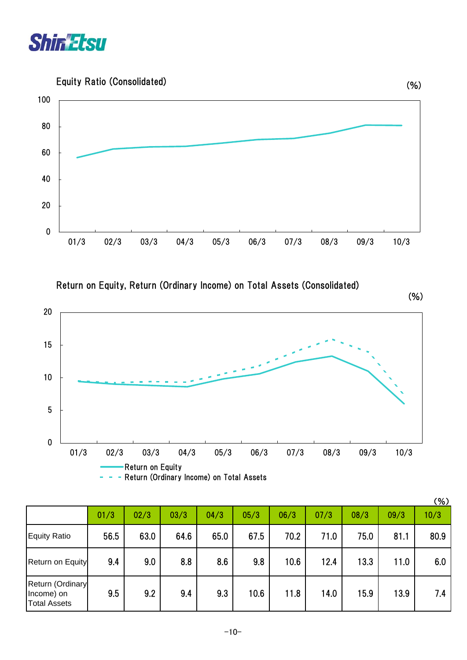

Equity Ratio (Consolidated)



Return on Equity, Return (Ordinary Income) on Total Assets (Consolidated)

(%)



|                                                       |      |      |      |      |      |      |      |      |      | (% ) |
|-------------------------------------------------------|------|------|------|------|------|------|------|------|------|------|
|                                                       | 01/3 | 02/3 | 03/3 | 04/3 | 05/3 | 06/3 | 07/3 | 08/3 | 09/3 | 10/3 |
| <b>Equity Ratio</b>                                   | 56.5 | 63.0 | 64.6 | 65.0 | 67.5 | 70.2 | 71.0 | 75.0 | 81.1 | 80.9 |
| Return on Equity                                      | 9.4  | 9.0  | 8.8  | 8.6  | 9.8  | 10.6 | 12.4 | 13.3 | 11.0 | 6.0  |
| Return (Ordinary<br>Income) on<br><b>Total Assets</b> | 9.5  | 9.2  | 9.4  | 9.3  | 10.6 | 11.8 | 14.0 | 15.9 | 13.9 | 7.4  |

(%)